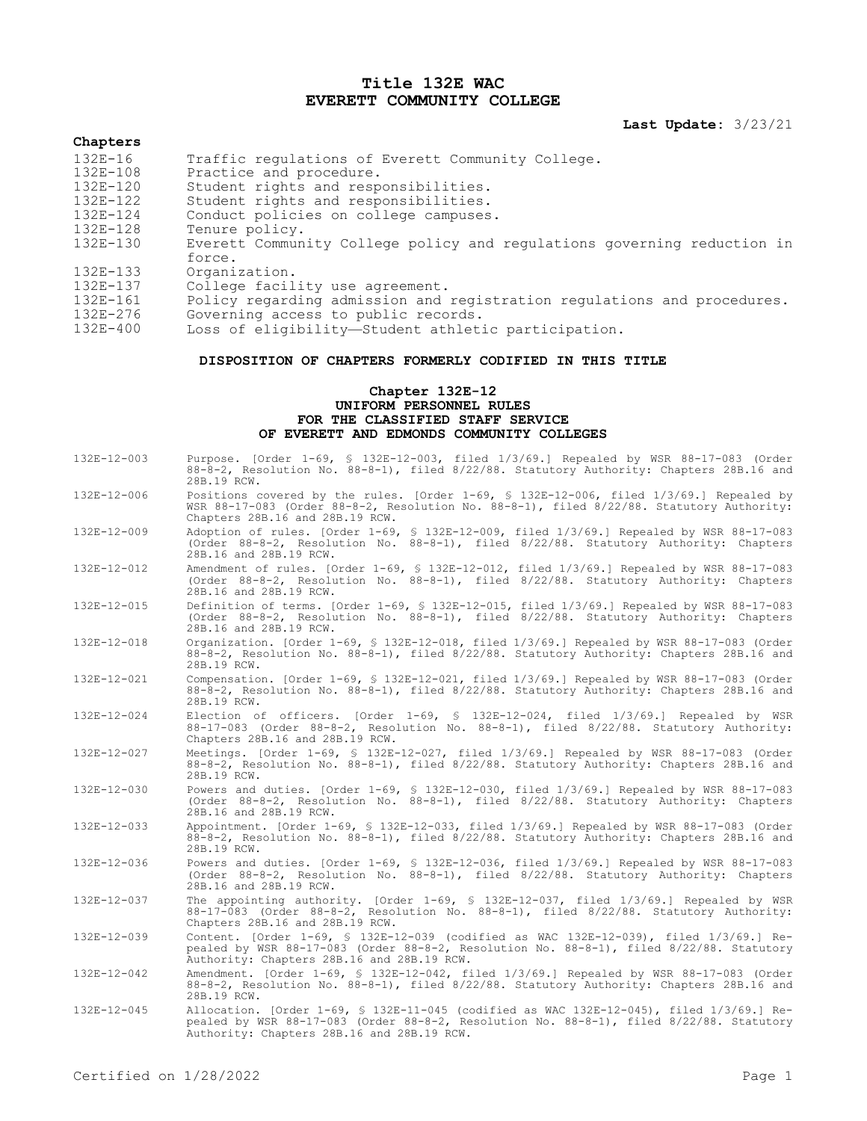# **Title 132E WAC EVERETT COMMUNITY COLLEGE**

**Last Update:** 3/23/21

- **Chapters** 132E-16 Traffic regulations of Everett Community College.<br>132E-108 Practice and procedure. 132E-108 Practice and procedure.<br>132E-120 Student rights and resp 132E-120 Student rights and responsibilities. 132E-122 Student rights and responsibilities. 132E-124 Conduct policies on college campuses.<br>132E-128 Tenure policy. 132E-128 Tenure policy.<br>132E-130 Everett Commun Everett Community College policy and regulations governing reduction in force. 132E-133 Organization.<br>132E-137 College facil 132E-137 College facility use agreement.<br>132E-161 Policy regarding admission and 132E-161 Policy regarding admission and registration regulations and procedures.<br>132E-276 Governing access to public records. 132E-276 Governing access to public records.<br>132E-400 Loss of eligibility—Student athlet:
	- Loss of eligibility—Student athletic participation.

# **DISPOSITION OF CHAPTERS FORMERLY CODIFIED IN THIS TITLE**

## **Chapter 132E-12 UNIFORM PERSONNEL RULES FOR THE CLASSIFIED STAFF SERVICE OF EVERETT AND EDMONDS COMMUNITY COLLEGES**

| 132E-12-003            | Purpose. [Order 1-69, § 132E-12-003, filed 1/3/69.] Repealed by WSR 88-17-083 (Order<br>88-8-2, Resolution No. 88-8-1), filed 8/22/88. Statutory Authority: Chapters 28B.16 and<br>28B.19 RCW.                                    |
|------------------------|-----------------------------------------------------------------------------------------------------------------------------------------------------------------------------------------------------------------------------------|
| 132E-12-006            | Positions covered by the rules. [Order 1-69, \$ 132E-12-006, filed 1/3/69.] Repealed by<br>WSR 88-17-083 (Order 88-8-2, Resolution No. 88-8-1), filed 8/22/88. Statutory Authority:<br>Chapters 28B.16 and 28B.19 RCW.            |
| 132E-12-009            | Adoption of rules. [Order 1-69, \$ 132E-12-009, filed 1/3/69.] Repealed by WSR 88-17-083<br>(Order 88-8-2, Resolution No. 88-8-1), filed 8/22/88. Statutory Authority: Chapters<br>28B.16 and 28B.19 RCW.                         |
| 132E-12-012            | Amendment of rules. [Order 1-69, § 132E-12-012, filed 1/3/69.] Repealed by WSR 88-17-083<br>(Order 88-8-2, Resolution No. 88-8-1), filed 8/22/88. Statutory Authority: Chapters<br>28B.16 and 28B.19 RCW.                         |
| 132E-12-015            | Definition of terms. [Order 1-69, § 132E-12-015, filed 1/3/69.] Repealed by WSR 88-17-083<br>(Order 88-8-2, Resolution No. 88-8-1), filed 8/22/88. Statutory Authority: Chapters<br>28B.16 and 28B.19 RCW.                        |
| 132E-12-018            | Organization. [Order 1-69, § 132E-12-018, filed 1/3/69.] Repealed by WSR 88-17-083 (Order<br>88-8-2, Resolution No. 88-8-1), filed 8/22/88. Statutory Authority: Chapters 28B.16 and<br>28B.19 RCW.                               |
| 132E-12-021            | Compensation. [Order 1-69, § 132E-12-021, filed 1/3/69.] Repealed by WSR 88-17-083 (Order<br>88-8-2, Resolution No. 88-8-1), filed 8/22/88. Statutory Authority: Chapters 28B.16 and<br>28B.19 RCW.                               |
| 132E-12-024            | Election of officers. [Order 1-69, § 132E-12-024, filed 1/3/69.] Repealed by WSR<br>88-17-083 (Order 88-8-2, Resolution No. 88-8-1), filed 8/22/88. Statutory Authority:<br>Chapters 28B.16 and 28B.19 RCW.                       |
| 132E-12-027            | Meetings. [Order 1-69, § 132E-12-027, filed 1/3/69.] Repealed by WSR 88-17-083 (Order<br>88-8-2, Resolution No. 88-8-1), filed 8/22/88. Statutory Authority: Chapters 28B.16 and<br>28B.19 RCW.                                   |
| 132E-12-030            | Powers and duties. [Order 1-69, § 132E-12-030, filed 1/3/69.] Repealed by WSR 88-17-083<br>(Order 88-8-2, Resolution No. 88-8-1), filed 8/22/88. Statutory Authority: Chapters<br>28B.16 and 28B.19 RCW.                          |
| 132E-12-033            | Appointment. [Order 1-69, § 132E-12-033, filed 1/3/69.] Repealed by WSR 88-17-083 (Order<br>88-8-2, Resolution No. 88-8-1), filed 8/22/88. Statutory Authority: Chapters 28B.16 and<br>28B.19 RCW.                                |
| 132E-12-036            | Powers and duties. [Order 1-69, § 132E-12-036, filed 1/3/69.] Repealed by WSR 88-17-083<br>(Order 88-8-2, Resolution No. 88-8-1), filed 8/22/88. Statutory Authority: Chapters<br>28B.16 and 28B.19 RCW.                          |
| 132E-12-037            | The appointing authority. [Order 1-69, § 132E-12-037, filed $1/3/69$ .] Repealed by WSR<br>88-17-083 (Order 88-8-2, Resolution No. 88-8-1), filed 8/22/88. Statutory Authority:<br>Chapters 28B.16 and 28B.19 RCW.                |
| 132E-12-039            | Content. [Order 1-69, § 132E-12-039 (codified as WAC 132E-12-039), filed 1/3/69.] Re-<br>pealed by WSR 88-17-083 (Order 88-8-2, Resolution No. 88-8-1), filed 8/22/88. Statutory<br>Authority: Chapters 28B.16 and 28B.19 RCW.    |
| 132E-12-042            | Amendment. [Order 1-69, § 132E-12-042, filed 1/3/69.] Repealed by WSR 88-17-083 (Order<br>88-8-2, Resolution No. 88-8-1), filed 8/22/88. Statutory Authority: Chapters 28B.16 and<br>28B.19 RCW.                                  |
| 132E-12-045            | Allocation. [Order 1-69, § 132E-11-045 (codified as WAC 132E-12-045), filed 1/3/69.] Re-<br>pealed by WSR 88-17-083 (Order 88-8-2, Resolution No. 88-8-1), filed 8/22/88. Statutory<br>Authority: Chapters 28B.16 and 28B.19 RCW. |
| Certified on 1/28/2022 | Page 1                                                                                                                                                                                                                            |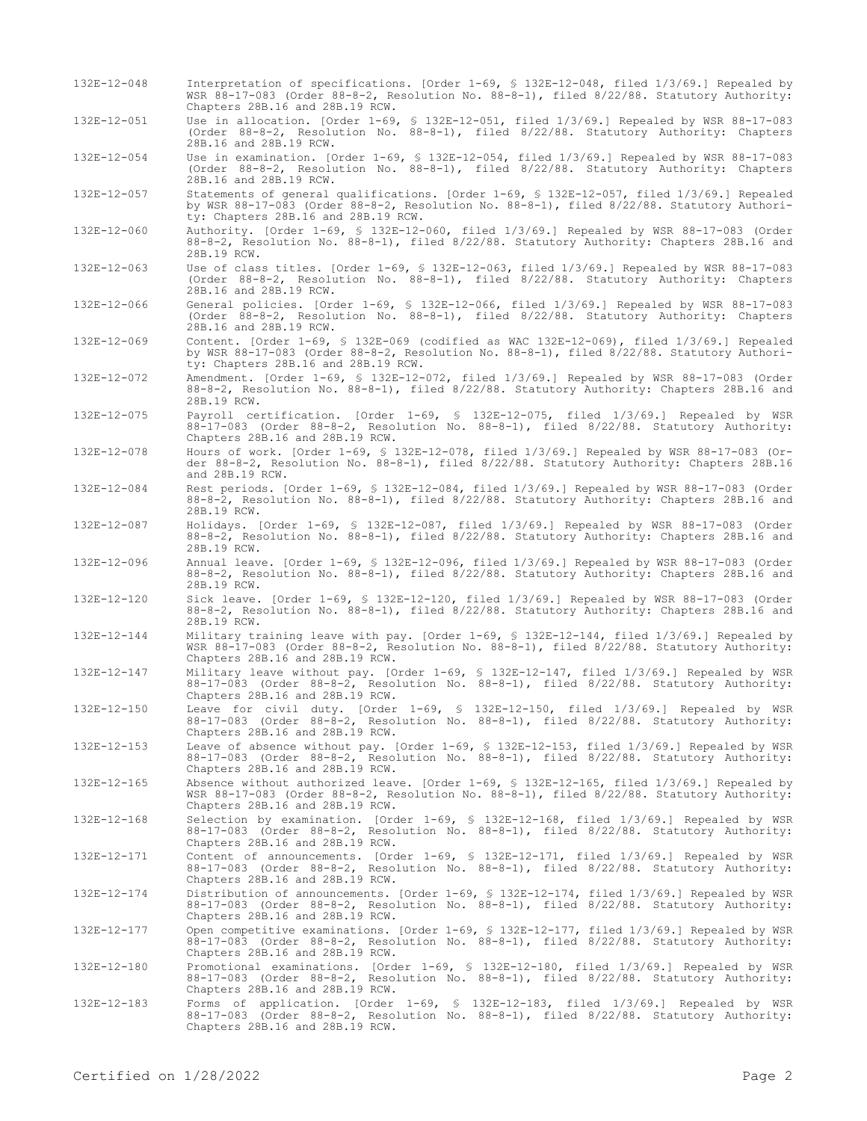Chapters 28B.16 and 28B.19 RCW. 132E-12-051 Use in allocation. [Order 1-69, § 132E-12-051, filed 1/3/69.] Repealed by WSR 88-17-083 (Order 88-8-2, Resolution No. 88-8-1), filed 8/22/88. Statutory Authority: Chapters 28B.16 and 28B.19 RCW. 132E-12-054 Use in examination. [Order 1-69, § 132E-12-054, filed 1/3/69.] Repealed by WSR 88-17-083 (Order 88-8-2, Resolution No. 88-8-1), filed 8/22/88. Statutory Authority: Chapters 28B.16 and 28B.19 RCW. 132E-12-057 Statements of general qualifications. [Order 1-69, § 132E-12-057, filed 1/3/69.] Repealed by WSR 88-17-083 (Order 88-8-2, Resolution No. 88-8-1), filed 8/22/88. Statutory Authority: Chapters 28B.16 and 28B.19 RCW. 132E-12-060 Authority. [Order 1-69, § 132E-12-060, filed 1/3/69.] Repealed by WSR 88-17-083 (Order 88-8-2, Resolution No. 88-8-1), filed 8/22/88. Statutory Authority: Chapters 28B.16 and 28B.19 RCW. 132E-12-063 Use of class titles. [Order 1-69, § 132E-12-063, filed 1/3/69.] Repealed by WSR 88-17-083 (Order 88-8-2, Resolution No. 88-8-1), filed 8/22/88. Statutory Authority: Chapters 28B.16 and 28B.19 RCW. 132E-12-066 General policies. [Order 1-69, § 132E-12-066, filed 1/3/69.] Repealed by WSR 88-17-083 (Order 88-8-2, Resolution No. 88-8-1), filed 8/22/88. Statutory Authority: Chapters 28B.16 and 28B.19 RCW. 132E-12-069 Content. [Order 1-69, § 132E-069 (codified as WAC 132E-12-069), filed 1/3/69.] Repealed by WSR 88-17-083 (Order 88-8-2, Resolution No. 88-8-1), filed 8/22/88. Statutory Authority: Chapters 28B.16 and 28B.19 RCW. 132E-12-072 Amendment. [Order 1-69, § 132E-12-072, filed 1/3/69.] Repealed by WSR 88-17-083 (Order 88-8-2, Resolution No. 88-8-1), filed 8/22/88. Statutory Authority: Chapters 28B.16 and 28B.19 RCW. 132E-12-075 Payroll certification. [Order 1-69, § 132E-12-075, filed 1/3/69.] Repealed by WSR 88-17-083 (Order 88-8-2, Resolution No. 88-8-1), filed 8/22/88. Statutory Authority: Chapters 28B.16 and 28B.19 RCW. 132E-12-078 Hours of work. [Order 1-69, § 132E-12-078, filed 1/3/69.] Repealed by WSR 88-17-083 (Order 88-8-2, Resolution No. 88-8-1), filed 8/22/88. Statutory Authority: Chapters 28B.16 and 28B.19 RCW. 132E-12-084 Rest periods. [Order 1-69, § 132E-12-084, filed 1/3/69.] Repealed by WSR 88-17-083 (Order 88-8-2, Resolution No. 88-8-1), filed 8/22/88. Statutory Authority: Chapters 28B.16 and 28B.19 RCW. 132E-12-087 Holidays. [Order 1-69, § 132E-12-087, filed 1/3/69.] Repealed by WSR 88-17-083 (Order 88-8-2, Resolution No. 88-8-1), filed 8/22/88. Statutory Authority: Chapters 28B.16 and 28B.19 RCW. 132E-12-096 Annual leave. [Order 1-69, § 132E-12-096, filed 1/3/69.] Repealed by WSR 88-17-083 (Order 88-8-2, Resolution No. 88-8-1), filed 8/22/88. Statutory Authority: Chapters 28B.16 and 28B.19 RCW. 132E-12-120 Sick leave. [Order 1-69, § 132E-12-120, filed 1/3/69.] Repealed by WSR 88-17-083 (Order 88-8-2, Resolution No. 88-8-1), filed 8/22/88. Statutory Authority: Chapters 28B.16 and 28B.19 RCW. 132E-12-144 Military training leave with pay. [Order 1-69, § 132E-12-144, filed 1/3/69.] Repealed by WSR 88-17-083 (Order 88-8-2, Resolution No. 88-8-1), filed 8/22/88. Statutory Authority: Chapters 28B.16 and 28B.19 RCW. 132E-12-147 Military leave without pay. [Order 1-69, § 132E-12-147, filed 1/3/69.] Repealed by WSR 88-17-083 (Order 88-8-2, Resolution No. 88-8-1), filed 8/22/88. Statutory Authority: Chapters 28B.16 and 28B.19 RCW. 132E-12-150 Leave for civil duty. [Order 1-69, § 132E-12-150, filed 1/3/69.] Repealed by WSR 88-17-083 (Order 88-8-2, Resolution No. 88-8-1), filed 8/22/88. Statutory Authority: Chapters 28B.16 and 28B.19 RCW. 132E-12-153 Leave of absence without pay. [Order 1-69, § 132E-12-153, filed 1/3/69.] Repealed by WSR 88-17-083 (Order 88-8-2, Resolution No. 88-8-1), filed 8/22/88. Statutory Authority: Chapters 28B.16 and 28B.19 RCW. 132E-12-165 Absence without authorized leave. [Order 1-69, § 132E-12-165, filed 1/3/69.] Repealed by WSR 88-17-083 (Order 88-8-2, Resolution No. 88-8-1), filed 8/22/88. Statutory Authority: Chapters 28B.16 and 28B.19 RCW. 132E-12-168 Selection by examination. [Order 1-69, § 132E-12-168, filed 1/3/69.] Repealed by WSR 88-17-083 (Order 88-8-2, Resolution No. 88-8-1), filed 8/22/88. Statutory Authority: Chapters 28B.16 and 28B.19 RCW. 132E-12-171 Content of announcements. [Order 1-69, § 132E-12-171, filed 1/3/69.] Repealed by WSR 88-17-083 (Order 88-8-2, Resolution No. 88-8-1), filed 8/22/88. Statutory Authority: Chapters 28B.16 and 28B.19 RCW. 132E-12-174 Distribution of announcements. [Order 1-69, § 132E-12-174, filed 1/3/69.] Repealed by WSR 88-17-083 (Order 88-8-2, Resolution No. 88-8-1), filed 8/22/88. Statutory Authority: Chapters 28B.16 and 28B.19 RCW. 132E-12-177 Open competitive examinations. [Order 1-69, § 132E-12-177, filed 1/3/69.] Repealed by WSR 88-17-083 (Order 88-8-2, Resolution No. 88-8-1), filed 8/22/88. Statutory Authority: Chapters 28B.16 and 28B.19 RCW. 132E-12-180 Promotional examinations. [Order 1-69, § 132E-12-180, filed 1/3/69.] Repealed by WSR 88-17-083 (Order 88-8-2, Resolution No. 88-8-1), filed 8/22/88. Statutory Authority: Chapters 28B.16 and 28B.19 RCW. 132E-12-183 Forms of application. [Order 1-69, § 132E-12-183, filed 1/3/69.] Repealed by WSR 88-17-083 (Order 88-8-2, Resolution No. 88-8-1), filed 8/22/88. Statutory Authority: Chapters 28B.16 and 28B.19 RCW.

132E-12-048 Interpretation of specifications. [Order 1-69, § 132E-12-048, filed 1/3/69.] Repealed by

WSR 88-17-083 (Order 88-8-2, Resolution No. 88-8-1), filed 8/22/88. Statutory Authority: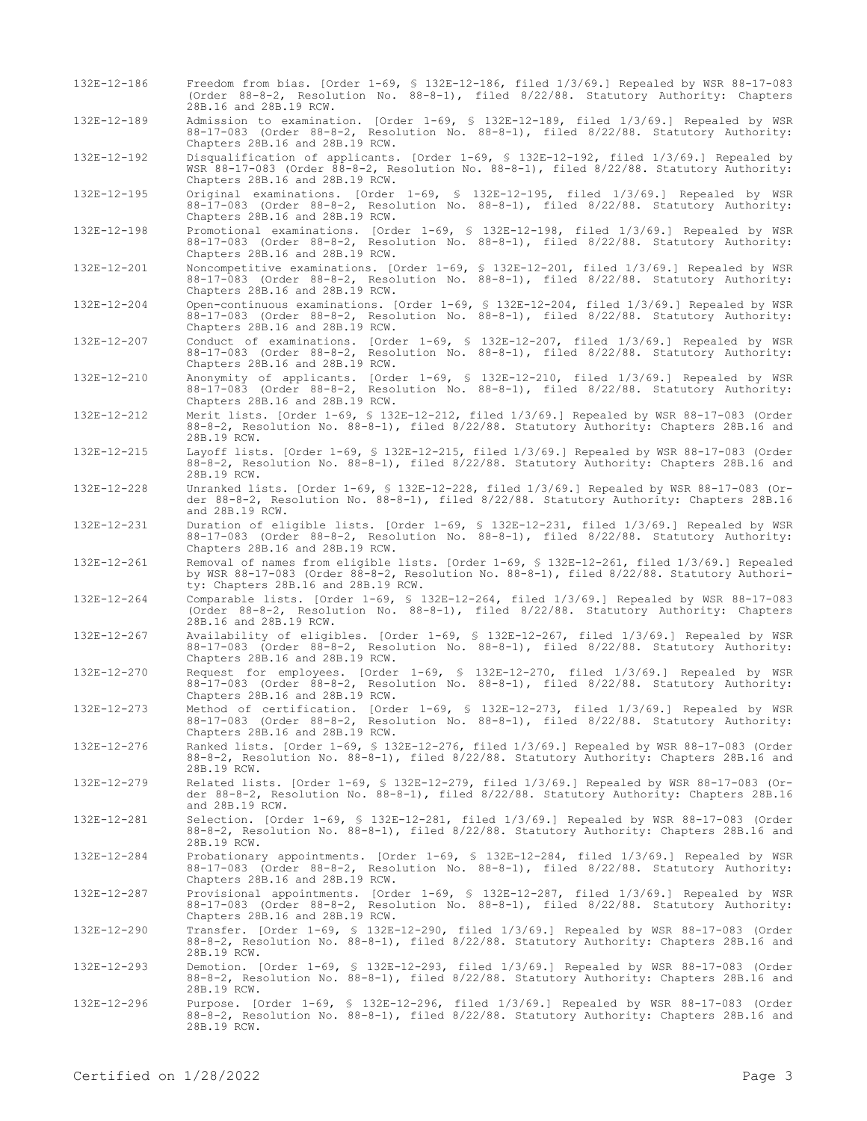132E-12-189 Admission to examination. [Order 1-69, § 132E-12-189, filed 1/3/69.] Repealed by WSR 88-17-083 (Order 88-8-2, Resolution No. 88-8-1), filed 8/22/88. Statutory Authority: Chapters 28B.16 and 28B.19 RCW. 132E-12-192 Disqualification of applicants. [Order 1-69, § 132E-12-192, filed 1/3/69.] Repealed by WSR 88-17-083 (Order 88-8-2, Resolution No. 88-8-1), filed 8/22/88. Statutory Authority: Chapters 28B.16 and 28B.19 RCW. 132E-12-195 Original examinations. [Order 1-69, § 132E-12-195, filed 1/3/69.] Repealed by WSR 88-17-083 (Order 88-8-2, Resolution No. 88-8-1), filed 8/22/88. Statutory Authority: Chapters 28B.16 and 28B.19 RCW. 132E-12-198 Promotional examinations. [Order 1-69, § 132E-12-198, filed 1/3/69.] Repealed by WSR 88-17-083 (Order 88-8-2, Resolution No. 88-8-1), filed 8/22/88. Statutory Authority: Chapters 28B.16 and 28B.19 RCW. 132E-12-201 Noncompetitive examinations. [Order 1-69, § 132E-12-201, filed 1/3/69.] Repealed by WSR 88-17-083 (Order 88-8-2, Resolution No. 88-8-1), filed 8/22/88. Statutory Authority: Chapters 28B.16 and 28B.19 RCW. 132E-12-204 Open-continuous examinations. [Order 1-69, § 132E-12-204, filed 1/3/69.] Repealed by WSR 88-17-083 (Order 88-8-2, Resolution No. 88-8-1), filed 8/22/88. Statutory Authority: Chapters 28B.16 and 28B.19 RCW. 132E-12-207 Conduct of examinations. [Order 1-69, § 132E-12-207, filed 1/3/69.] Repealed by WSR 88-17-083 (Order 88-8-2, Resolution No. 88-8-1), filed 8/22/88. Statutory Authority: Chapters 28B.16 and 28B.19 RCW. 132E-12-210 Anonymity of applicants. [Order 1-69, § 132E-12-210, filed 1/3/69.] Repealed by WSR 88-17-083 (Order 88-8-2, Resolution No. 88-8-1), filed 8/22/88. Statutory Authority: Chapters 28B.16 and 28B.19 RCW. 132E-12-212 Merit lists. [Order 1-69, § 132E-12-212, filed 1/3/69.] Repealed by WSR 88-17-083 (Order 88-8-2, Resolution No. 88-8-1), filed 8/22/88. Statutory Authority: Chapters 28B.16 and 28B.19 RCW. 132E-12-215 Layoff lists. [Order 1-69, § 132E-12-215, filed 1/3/69.] Repealed by WSR 88-17-083 (Order 88-8-2, Resolution No. 88-8-1), filed 8/22/88. Statutory Authority: Chapters 28B.16 and 28B.19 RCW. 132E-12-228 Unranked lists. [Order 1-69, § 132E-12-228, filed 1/3/69.] Repealed by WSR 88-17-083 (Order 88-8-2, Resolution No. 88-8-1), filed 8/22/88. Statutory Authority: Chapters 28B.16 and 28B.19 RCW. 132E-12-231 Duration of eligible lists. [Order 1-69, § 132E-12-231, filed 1/3/69.] Repealed by WSR 88-17-083 (Order 88-8-2, Resolution No. 88-8-1), filed 8/22/88. Statutory Authority: Chapters 28B.16 and 28B.19 RCW. 132E-12-261 Removal of names from eligible lists. [Order 1-69, § 132E-12-261, filed 1/3/69.] Repealed by WSR 88-17-083 (Order 88-8-2, Resolution No. 88-8-1), filed 8/22/88. Statutory Authority: Chapters 28B.16 and 28B.19 RCW. 132E-12-264 Comparable lists. [Order 1-69, § 132E-12-264, filed 1/3/69.] Repealed by WSR 88-17-083 (Order 88-8-2, Resolution No. 88-8-1), filed 8/22/88. Statutory Authority: Chapters 28B.16 and 28B.19 RCW. 132E-12-267 Availability of eligibles. [Order 1-69, § 132E-12-267, filed 1/3/69.] Repealed by WSR 88-17-083 (Order 88-8-2, Resolution No. 88-8-1), filed 8/22/88. Statutory Authority: Chapters 28B.16 and 28B.19 RCW. 132E-12-270 Request for employees. [Order 1-69, § 132E-12-270, filed 1/3/69.] Repealed by WSR 88-17-083 (Order 88-8-2, Resolution No. 88-8-1), filed 8/22/88. Statutory Authority: Chapters 28B.16 and 28B.19 RCW. 132E-12-273 Method of certification. [Order 1-69, § 132E-12-273, filed 1/3/69.] Repealed by WSR 88-17-083 (Order 88-8-2, Resolution No. 88-8-1), filed 8/22/88. Statutory Authority: Chapters 28B.16 and 28B.19 RCW. 132E-12-276 Ranked lists. [Order 1-69, § 132E-12-276, filed 1/3/69.] Repealed by WSR 88-17-083 (Order 88-8-2, Resolution No. 88-8-1), filed 8/22/88. Statutory Authority: Chapters 28B.16 and 28B.19 RCW. 132E-12-279 Related lists. [Order 1-69, § 132E-12-279, filed 1/3/69.] Repealed by WSR 88-17-083 (Order 88-8-2, Resolution No. 88-8-1), filed 8/22/88. Statutory Authority: Chapters 28B.16 and 28B.19 RCW. 132E-12-281 Selection. [Order 1-69, § 132E-12-281, filed 1/3/69.] Repealed by WSR 88-17-083 (Order 88-8-2, Resolution No. 88-8-1), filed 8/22/88. Statutory Authority: Chapters 28B.16 and 28B.19 RCW. 132E-12-284 Probationary appointments. [Order 1-69, § 132E-12-284, filed 1/3/69.] Repealed by WSR 88-17-083 (Order 88-8-2, Resolution No. 88-8-1), filed 8/22/88. Statutory Authority: Chapters 28B.16 and 28B.19 RCW. 132E-12-287 Provisional appointments. [Order 1-69, § 132E-12-287, filed 1/3/69.] Repealed by WSR 88-17-083 (Order 88-8-2, Resolution No. 88-8-1), filed 8/22/88. Statutory Authority: Chapters 28B.16 and 28B.19 RCW. 132E-12-290 Transfer. [Order 1-69, § 132E-12-290, filed 1/3/69.] Repealed by WSR 88-17-083 (Order 88-8-2, Resolution No. 88-8-1), filed 8/22/88. Statutory Authority: Chapters 28B.16 and 28B.19 RCW. 132E-12-293 Demotion. [Order 1-69, § 132E-12-293, filed 1/3/69.] Repealed by WSR 88-17-083 (Order 88-8-2, Resolution No. 88-8-1), filed 8/22/88. Statutory Authority: Chapters 28B.16 and 28B.19 RCW. 132E-12-296 Purpose. [Order 1-69, § 132E-12-296, filed 1/3/69.] Repealed by WSR 88-17-083 (Order 88-8-2, Resolution No. 88-8-1), filed 8/22/88. Statutory Authority: Chapters 28B.16 and 28B.19 RCW.

132E-12-186 Freedom from bias. [Order 1-69, § 132E-12-186, filed 1/3/69.] Repealed by WSR 88-17-083

28B.16 and 28B.19 RCW.

(Order 88-8-2, Resolution No. 88-8-1), filed 8/22/88. Statutory Authority: Chapters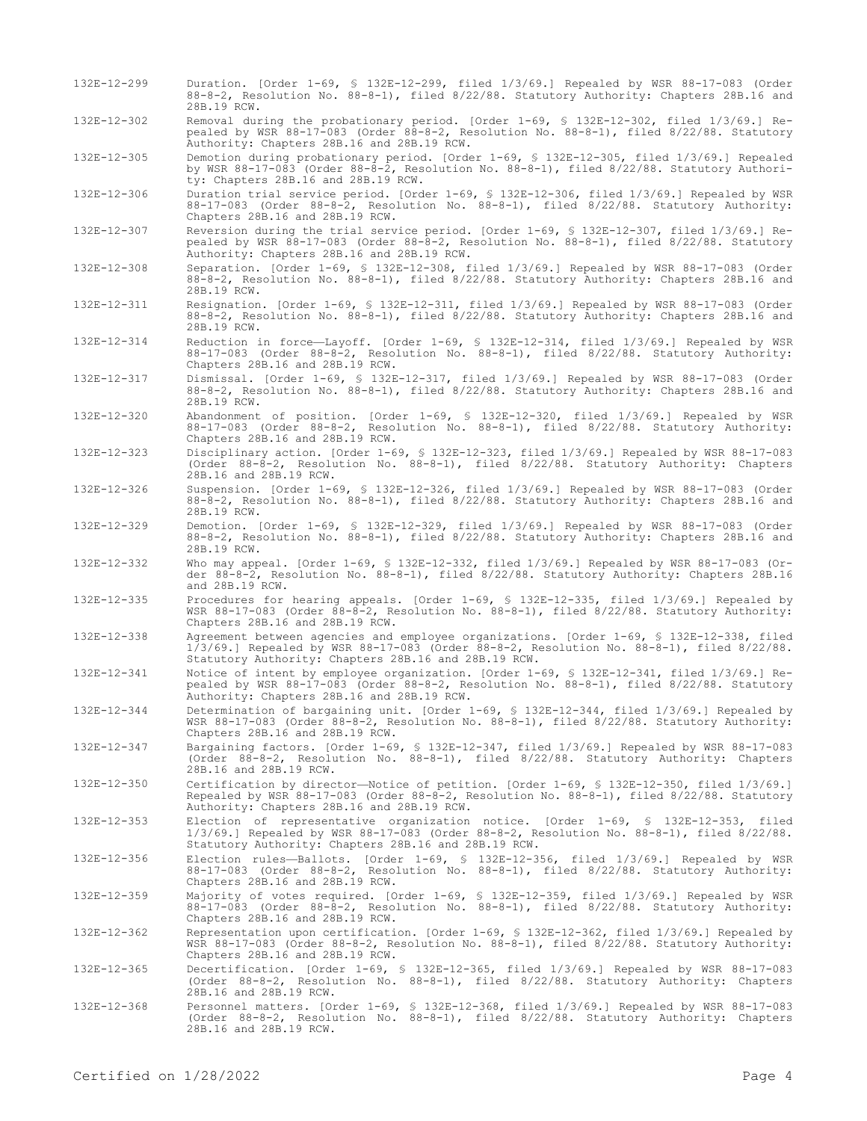132E-12-299 Duration. [Order 1-69, § 132E-12-299, filed 1/3/69.] Repealed by WSR 88-17-083 (Order 88-8-2, Resolution No. 88-8-1), filed 8/22/88. Statutory Authority: Chapters 28B.16 and 28B.19 RCW. 132E-12-302 Removal during the probationary period. [Order 1-69, § 132E-12-302, filed 1/3/69.] Repealed by WSR 88-17-083 (Order 88-8-2, Resolution No. 88-8-1), filed 8/22/88. Statutory Authority: Chapters 28B.16 and 28B.19 RCW. 132E-12-305 Demotion during probationary period. [Order 1-69, § 132E-12-305, filed 1/3/69.] Repealed by WSR 88-17-083 (Order 88-8-2, Resolution No. 88-8-1), filed 8/22/88. Statutory Authority: Chapters 28B.16 and 28B.19 RCW. 132E-12-306 Duration trial service period. [Order 1-69, § 132E-12-306, filed 1/3/69.] Repealed by WSR 88-17-083 (Order 88-8-2, Resolution No. 88-8-1), filed 8/22/88. Statutory Authority: Chapters 28B.16 and 28B.19 RCW. 132E-12-307 Reversion during the trial service period. [Order 1-69, § 132E-12-307, filed 1/3/69.] Repealed by WSR 88-17-083 (Order 88-8-2, Resolution No. 88-8-1), filed 8/22/88. Statutory Authority: Chapters 28B.16 and 28B.19 RCW. 132E-12-308 Separation. [Order 1-69, § 132E-12-308, filed 1/3/69.] Repealed by WSR 88-17-083 (Order 88-8-2, Resolution No. 88-8-1), filed 8/22/88. Statutory Authority: Chapters 28B.16 and 28B.19 RCW. 132E-12-311 Resignation. [Order 1-69, § 132E-12-311, filed 1/3/69.] Repealed by WSR 88-17-083 (Order 88-8-2, Resolution No. 88-8-1), filed 8/22/88. Statutory Authority: Chapters 28B.16 and 28B.19 RCW. 132E-12-314 Reduction in force—Layoff. [Order 1-69, § 132E-12-314, filed 1/3/69.] Repealed by WSR 88-17-083 (Order 88-8-2, Resolution No. 88-8-1), filed 8/22/88. Statutory Authority: Chapters 28B.16 and 28B.19 RCW. 132E-12-317 Dismissal. [Order 1-69, § 132E-12-317, filed 1/3/69.] Repealed by WSR 88-17-083 (Order 88-8-2, Resolution No. 88-8-1), filed 8/22/88. Statutory Authority: Chapters 28B.16 and 28B.19 RCW. 132E-12-320 Abandonment of position. [Order 1-69, § 132E-12-320, filed 1/3/69.] Repealed by WSR 88-17-083 (Order 88-8-2, Resolution No. 88-8-1), filed 8/22/88. Statutory Authority: Chapters 28B.16 and 28B.19 RCW. 132E-12-323 Disciplinary action. [Order 1-69, § 132E-12-323, filed 1/3/69.] Repealed by WSR 88-17-083 (Order 88-8-2, Resolution No. 88-8-1), filed 8/22/88. Statutory Authority: Chapters 28B.16 and 28B.19 RCW. 132E-12-326 Suspension. [Order 1-69, § 132E-12-326, filed 1/3/69.] Repealed by WSR 88-17-083 (Order 88-8-2, Resolution No. 88-8-1), filed 8/22/88. Statutory Authority: Chapters 28B.16 and 28B.19 RCW. 132E-12-329 Demotion. [Order 1-69, § 132E-12-329, filed 1/3/69.] Repealed by WSR 88-17-083 (Order 88-8-2, Resolution No. 88-8-1), filed 8/22/88. Statutory Authority: Chapters 28B.16 and 28B.19 RCW. 132E-12-332 Who may appeal. [Order 1-69, § 132E-12-332, filed 1/3/69.] Repealed by WSR 88-17-083 (Order 88-8-2, Resolution No. 88-8-1), filed 8/22/88. Statutory Authority: Chapters 28B.16 and 28B.19 RCW. 132E-12-335 Procedures for hearing appeals. [Order 1-69, § 132E-12-335, filed 1/3/69.] Repealed by WSR 88-17-083 (Order 88-8-2, Resolution No. 88-8-1), filed 8/22/88. Statutory Authority: Chapters 28B.16 and 28B.19 RCW. 132E-12-338 Agreement between agencies and employee organizations. [Order 1-69, § 132E-12-338, filed 1/3/69.] Repealed by WSR 88-17-083 (Order 88-8-2, Resolution No. 88-8-1), filed 8/22/88. Statutory Authority: Chapters 28B.16 and 28B.19 RCW. 132E-12-341 Notice of intent by employee organization. [Order 1-69, § 132E-12-341, filed 1/3/69.] Repealed by WSR 88-17-083 (Order 88-8-2, Resolution No. 88-8-1), filed 8/22/88. Statutory Authority: Chapters 28B.16 and 28B.19 RCW. 132E-12-344 Determination of bargaining unit. [Order 1-69, § 132E-12-344, filed 1/3/69.] Repealed by WSR 88-17-083 (Order 88-8-2, Resolution No. 88-8-1), filed 8/22/88. Statutory Authority: Chapters 28B.16 and 28B.19 RCW. 132E-12-347 Bargaining factors. [Order 1-69, § 132E-12-347, filed 1/3/69.] Repealed by WSR 88-17-083 (Order 88-8-2, Resolution No. 88-8-1), filed 8/22/88. Statutory Authority: Chapters 28B.16 and 28B.19 RCW. 132E-12-350 Certification by director—Notice of petition. [Order 1-69, § 132E-12-350, filed 1/3/69.] Repealed by WSR 88-17-083 (Order 88-8-2, Resolution No. 88-8-1), filed 8/22/88. Statutory Authority: Chapters 28B.16 and 28B.19 RCW. 132E-12-353 Election of representative organization notice. [Order 1-69, § 132E-12-353, filed 1/3/69.] Repealed by WSR 88-17-083 (Order 88-8-2, Resolution No. 88-8-1), filed 8/22/88. Statutory Authority: Chapters 28B.16 and 28B.19 RCW. 132E-12-356 Election rules—Ballots. [Order 1-69, § 132E-12-356, filed 1/3/69.] Repealed by WSR 88-17-083 (Order 88-8-2, Resolution No. 88-8-1), filed 8/22/88. Statutory Authority: Chapters 28B.16 and 28B.19 RCW. 132E-12-359 Majority of votes required. [Order 1-69, § 132E-12-359, filed 1/3/69.] Repealed by WSR 88-17-083 (Order 88-8-2, Resolution No. 88-8-1), filed 8/22/88. Statutory Authority: Chapters 28B.16 and 28B.19 RCW. 132E-12-362 Representation upon certification. [Order 1-69, § 132E-12-362, filed 1/3/69.] Repealed by WSR 88-17-083 (Order 88-8-2, Resolution No. 88-8-1), filed 8/22/88. Statutory Authority: Chapters 28B.16 and 28B.19 RCW. 132E-12-365 Decertification. [Order 1-69, § 132E-12-365, filed 1/3/69.] Repealed by WSR 88-17-083 (Order 88-8-2, Resolution No. 88-8-1), filed 8/22/88. Statutory Authority: Chapters 28B.16 and 28B.19 RCW. 132E-12-368 Personnel matters. [Order 1-69, § 132E-12-368, filed 1/3/69.] Repealed by WSR 88-17-083 (Order 88-8-2, Resolution No. 88-8-1), filed 8/22/88. Statutory Authority: Chapters 28B.16 and 28B.19 RCW.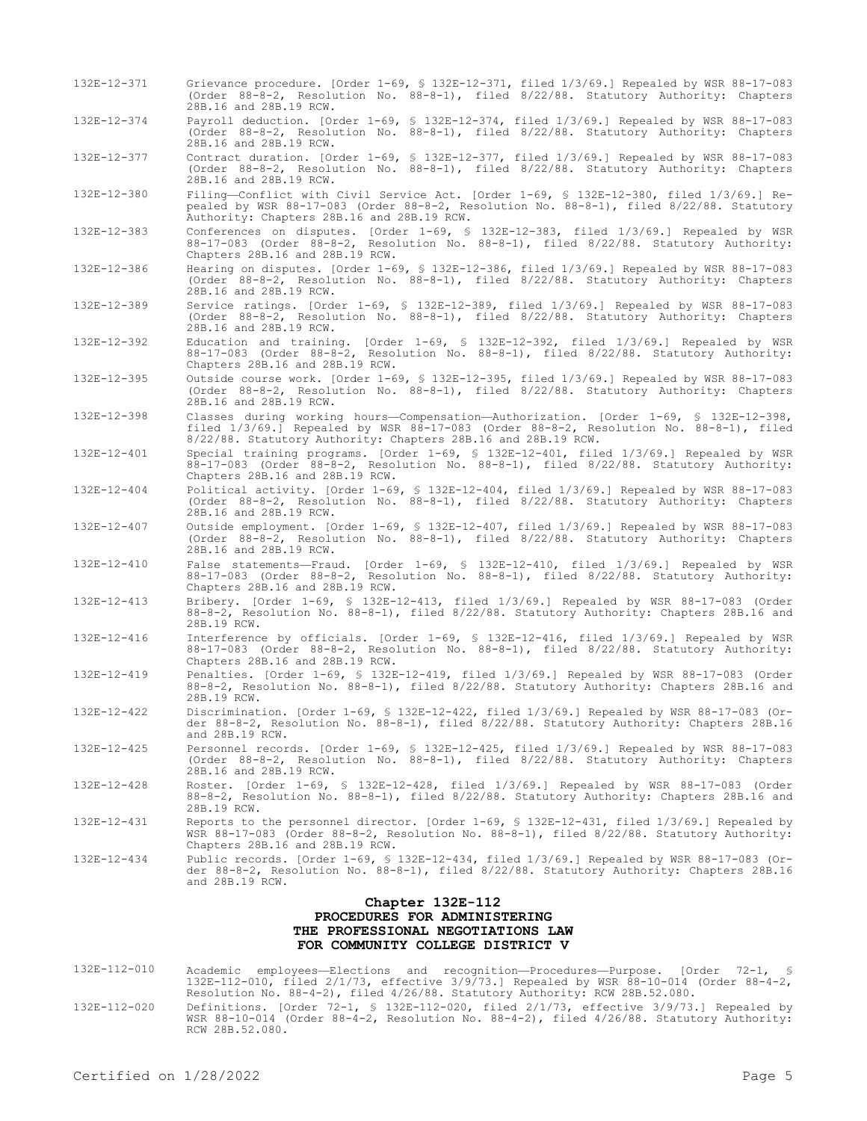- 132E-12-371 Grievance procedure. [Order 1-69, § 132E-12-371, filed 1/3/69.] Repealed by WSR 88-17-083 (Order 88-8-2, Resolution No. 88-8-1), filed 8/22/88. Statutory Authority: Chapters 28B.16 and 28B.19 RCW.
- 132E-12-374 Payroll deduction. [Order 1-69, § 132E-12-374, filed 1/3/69.] Repealed by WSR 88-17-083 (Order 88-8-2, Resolution No. 88-8-1), filed 8/22/88. Statutory Authority: Chapters 28B.16 and 28B.19 RCW.
- 132E-12-377 Contract duration. [Order 1-69, § 132E-12-377, filed 1/3/69.] Repealed by WSR 88-17-083 (Order 88-8-2, Resolution No. 88-8-1), filed 8/22/88. Statutory Authority: Chapters 28B.16 and 28B.19 RCW.
- 132E-12-380 Filing—Conflict with Civil Service Act. [Order 1-69, § 132E-12-380, filed 1/3/69.] Repealed by WSR 88-17-083 (Order 88-8-2, Resolution No. 88-8-1), filed 8/22/88. Statutory Authority: Chapters 28B.16 and 28B.19 RCW.
- 132E-12-383 Conferences on disputes. [Order 1-69, § 132E-12-383, filed 1/3/69.] Repealed by WSR 88-17-083 (Order 88-8-2, Resolution No. 88-8-1), filed 8/22/88. Statutory Authority: Chapters 28B.16 and 28B.19 RCW.
- 132E-12-386 Hearing on disputes. [Order 1-69, § 132E-12-386, filed 1/3/69.] Repealed by WSR 88-17-083 (Order 88-8-2, Resolution No. 88-8-1), filed 8/22/88. Statutory Authority: Chapters 28B.16 and 28B.19 RCW.
- 132E-12-389 Service ratings. [Order 1-69, § 132E-12-389, filed 1/3/69.] Repealed by WSR 88-17-083 (Order 88-8-2, Resolution No. 88-8-1), filed 8/22/88. Statutory Authority: Chapters 28B.16 and 28B.19 RCW.
- 132E-12-392 Education and training. [Order 1-69, § 132E-12-392, filed 1/3/69.] Repealed by WSR 88-17-083 (Order 88-8-2, Resolution No. 88-8-1), filed 8/22/88. Statutory Authority: Chapters 28B.16 and 28B.19 RCW.
- 132E-12-395 Outside course work. [Order 1-69, § 132E-12-395, filed 1/3/69.] Repealed by WSR 88-17-083 (Order 88-8-2, Resolution No. 88-8-1), filed 8/22/88. Statutory Authority: Chapters 28B.16 and 28B.19 RCW.
- 132E-12-398 Classes during working hours—Compensation—Authorization. [Order 1-69, § 132E-12-398, filed 1/3/69.] Repealed by WSR 88-17-083 (Order 88-8-2, Resolution No. 88-8-1), filed 8/22/88. Statutory Authority: Chapters 28B.16 and 28B.19 RCW.
- 132E-12-401 Special training programs. [Order 1-69, § 132E-12-401, filed 1/3/69.] Repealed by WSR 88-17-083 (Order 88-8-2, Resolution No. 88-8-1), filed 8/22/88. Statutory Authority: Chapters 28B.16 and 28B.19 RCW.
- 132E-12-404 Political activity. [Order 1-69, § 132E-12-404, filed 1/3/69.] Repealed by WSR 88-17-083 (Order 88-8-2, Resolution No. 88-8-1), filed 8/22/88. Statutory Authority: Chapters 28B.16 and 28B.19 RCW.
- 132E-12-407 Outside employment. [Order 1-69, § 132E-12-407, filed 1/3/69.] Repealed by WSR 88-17-083 (Order 88-8-2, Resolution No. 88-8-1), filed 8/22/88. Statutory Authority: Chapters 28B.16 and 28B.19 RCW.
- 132E-12-410 False statements—Fraud. [Order 1-69, § 132E-12-410, filed 1/3/69.] Repealed by WSR 88-17-083 (Order 88-8-2, Resolution No. 88-8-1), filed 8/22/88. Statutory Authority: Chapters 28B.16 and 28B.19 RCW.
- 132E-12-413 Bribery. [Order 1-69, § 132E-12-413, filed 1/3/69.] Repealed by WSR 88-17-083 (Order 88-8-2, Resolution No. 88-8-1), filed 8/22/88. Statutory Authority: Chapters 28B.16 and 28B.19 RCW.
- 132E-12-416 Interference by officials. [Order 1-69, § 132E-12-416, filed 1/3/69.] Repealed by WSR 88-17-083 (Order 88-8-2, Resolution No. 88-8-1), filed 8/22/88. Statutory Authority: Chapters 28B.16 and 28B.19 RCW.
- 132E-12-419 Penalties. [Order 1-69, § 132E-12-419, filed 1/3/69.] Repealed by WSR 88-17-083 (Order 88-8-2, Resolution No. 88-8-1), filed 8/22/88. Statutory Authority: Chapters 28B.16 and 28B.19 RCW.
- 132E-12-422 Discrimination. [Order 1-69, § 132E-12-422, filed 1/3/69.] Repealed by WSR 88-17-083 (Order 88-8-2, Resolution No. 88-8-1), filed 8/22/88. Statutory Authority: Chapters 28B.16 and 28B.19 RCW.
- 132E-12-425 Personnel records. [Order 1-69, § 132E-12-425, filed 1/3/69.] Repealed by WSR 88-17-083 (Order 88-8-2, Resolution No. 88-8-1), filed 8/22/88. Statutory Authority: Chapters 28B.16 and 28B.19 RCW.
- 132E-12-428 Roster. [Order 1-69, § 132E-12-428, filed 1/3/69.] Repealed by WSR 88-17-083 (Order 88-8-2, Resolution No. 88-8-1), filed 8/22/88. Statutory Authority: Chapters 28B.16 and 28B.19 RCW.
- 132E-12-431 Reports to the personnel director. [Order 1-69, § 132E-12-431, filed 1/3/69.] Repealed by WSR 88-17-083 (Order 88-8-2, Resolution No. 88-8-1), filed 8/22/88. Statutory Authority: Chapters 28B.16 and 28B.19 RCW.
- 132E-12-434 Public records. [Order 1-69, § 132E-12-434, filed 1/3/69.] Repealed by WSR 88-17-083 (Order 88-8-2, Resolution No. 88-8-1), filed 8/22/88. Statutory Authority: Chapters 28B.16 and 28B.19 RCW.

## **Chapter 132E-112 PROCEDURES FOR ADMINISTERING THE PROFESSIONAL NEGOTIATIONS LAW FOR COMMUNITY COLLEGE DISTRICT V**

- 132E-112-010 Academic employees—Elections and recognition—Procedures—Purpose. [Order 72-1, § 132E-112-010, filed  $2/1/73$ , effective  $3/9/73$ .] Repealed by WSR  $88-10-014$  (Order  $88-4-2$ , Resolution No.  $88-4-2$ ), filed  $4/26/88$ . Statutory Authority: RCW 28B.52.080. Resolution No. 88-4-2), filed 4/26/88. Statutory Authority: RCW 28B.52.080.
- 132E-112-020 Definitions. [Order 72-1, § 132E-112-020, filed 2/1/73, effective 3/9/73.] Repealed by WSR 88-10-014 (Order 88-4-2, Resolution No. 88-4-2), filed 4/26/88. Statutory Authority: RCW 28B.52.080.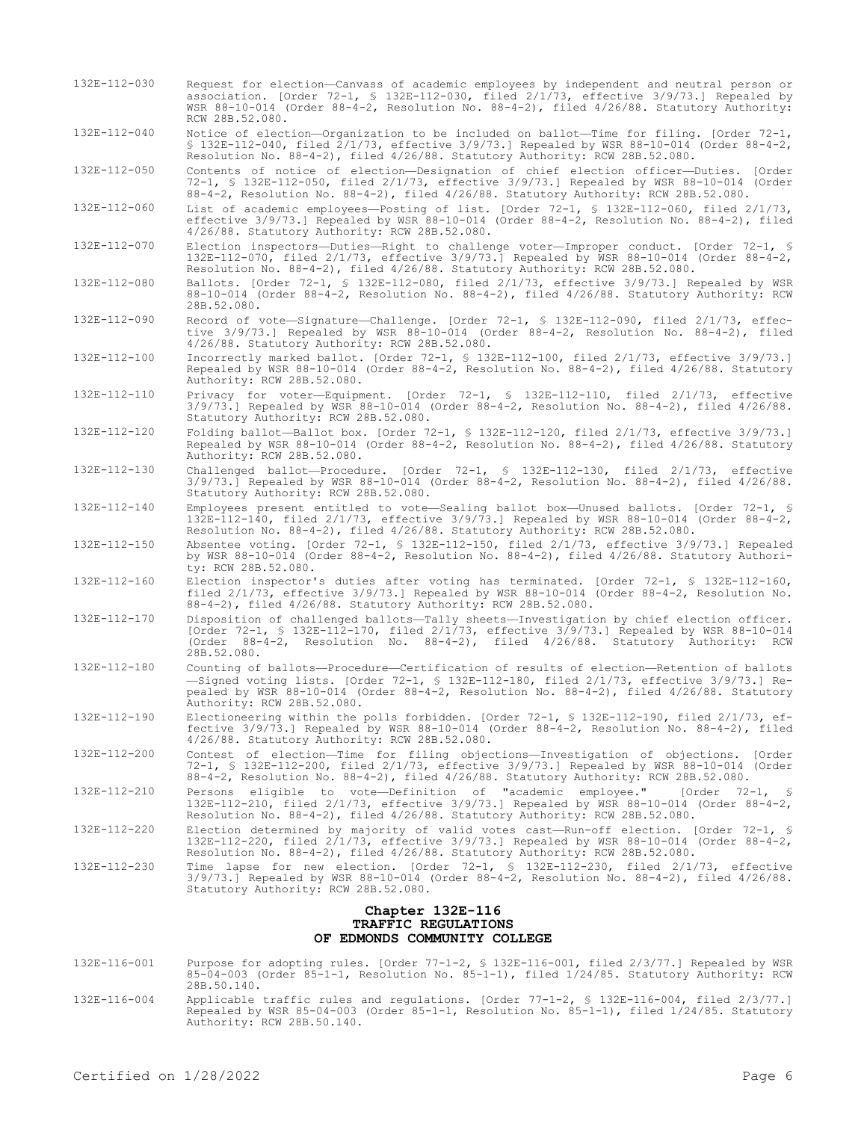| 132E-112-030                                        | Request for election-Canvass of academic employees by independent and neutral person or<br>association. [Order 72-1, § 132E-112-030, filed $2/1/73$ , effective $3/9/73$ .] Repealed by<br>WSR 88-10-014 (Order 88-4-2, Resolution No. 88-4-2), filed 4/26/88. Statutory Authority:<br>RCW 28B.52.080.            |  |
|-----------------------------------------------------|-------------------------------------------------------------------------------------------------------------------------------------------------------------------------------------------------------------------------------------------------------------------------------------------------------------------|--|
| 132E-112-040                                        | Notice of election-Organization to be included on ballot-Time for filing. [Order 72-1,<br>$$132E-112-040$ , filed $2/1/73$ , effective $3/9/73$ . Repealed by WSR 88-10-014 (Order 88-4-2,<br>Resolution No. 88-4-2), filed 4/26/88. Statutory Authority: RCW 28B.52.080.                                         |  |
| 132E-112-050                                        | Contents of notice of election-Designation of chief election officer-Duties. [Order<br>72-1, § 132E-112-050, filed $2/1/73$ , effective $3/9/73$ .] Repealed by WSR 88-10-014 (Order<br>88-4-2, Resolution No. 88-4-2), filed 4/26/88. Statutory Authority: RCW 28B.52.080.                                       |  |
| 132E-112-060                                        | List of academic employees--Posting of list. [Order 72-1, $\frac{1}{2}$ 132E-112-060, filed 2/1/73,<br>effective $3/9/73$ . Repealed by WSR 88-10-014 (Order 88-4-2, Resolution No. 88-4-2), filed<br>4/26/88. Statutory Authority: RCW 28B.52.080.                                                               |  |
| 132E-112-070                                        | Election inspectors—Duties—Right to challenge voter—Improper conduct. [Order 72-1, §<br>132E-112-070, filed 2/1/73, effective 3/9/73.] Repealed by WSR 88-10-014 (Order 88-4-2,<br>Resolution No. 88-4-2), filed 4/26/88. Statutory Authority: RCW 28B.52.080.                                                    |  |
| 132E-112-080                                        | Ballots. [Order 72-1, § 132E-112-080, filed 2/1/73, effective 3/9/73.] Repealed by WSR<br>88-10-014 (Order 88-4-2, Resolution No. 88-4-2), filed 4/26/88. Statutory Authority: RCW<br>28B.52.080.                                                                                                                 |  |
| 132E-112-090                                        | Record of vote-Signature-Challenge. [Order 72-1, § 132E-112-090, filed 2/1/73, effec-<br>tive $3/9/73$ .] Repealed by WSR 88-10-014 (Order 88-4-2, Resolution No. 88-4-2), filed<br>4/26/88. Statutory Authority: RCW 28B.52.080.                                                                                 |  |
| 132E-112-100                                        | Incorrectly marked ballot. [Order 72-1, $\frac{1}{2}$ 132E-112-100, filed 2/1/73, effective 3/9/73.]<br>Repealed by WSR 88-10-014 (Order 88-4-2, Resolution No. 88-4-2), filed 4/26/88. Statutory<br>Authority: RCW 28B.52.080.                                                                                   |  |
| 132E-112-110                                        | Privacy for voter-Equipment. [Order 72-1, $\frac{1}{2}$ 132E-112-110, filed 2/1/73, effective<br>$3/9/73$ .] Repealed by WSR 88-10-014 (Order 88-4-2, Resolution No. 88-4-2), filed $4/26/88$ .<br>Statutory Authority: RCW 28B.52.080.                                                                           |  |
| 132E-112-120                                        | Folding ballot-Ballot box. [Order 72-1, § 132E-112-120, filed 2/1/73, effective 3/9/73.]<br>Repealed by WSR 88-10-014 (Order 88-4-2, Resolution No. 88-4-2), filed 4/26/88. Statutory<br>Authority: RCW 28B.52.080.                                                                                               |  |
| 132E-112-130                                        | Challenged ballot-Procedure. [Order 72-1, § 132E-112-130, filed 2/1/73, effective<br>$3/9/73$ .] Repealed by WSR 88-10-014 (Order 88-4-2, Resolution No. 88-4-2), filed $4/26/88$ .<br>Statutory Authority: RCW 28B.52.080.                                                                                       |  |
| 132E-112-140                                        | Employees present entitled to vote-Sealing ballot box-Unused ballots. [Order 72-1, §<br>132E-112-140, filed 2/1/73, effective 3/9/73.] Repealed by WSR 88-10-014 (Order 88-4-2,<br>Resolution No. 88-4-2), filed 4/26/88. Statutory Authority: RCW 28B.52.080.                                                    |  |
| 132E-112-150                                        | Absentee voting. [Order 72-1, § 132E-112-150, filed 2/1/73, effective 3/9/73.] Repealed<br>by WSR 88-10-014 (Order 88-4-2, Resolution No. 88-4-2), filed 4/26/88. Statutory Authori-<br>ty: RCW 28B.52.080.                                                                                                       |  |
| 132E-112-160                                        | Election inspector's duties after voting has terminated. [Order 72-1, § 132E-112-160,<br>filed $2/1/73$ , effective $3/9/73$ . Repealed by WSR 88-10-014 (Order 88-4-2, Resolution No.<br>88-4-2), filed 4/26/88. Statutory Authority: RCW 28B.52.080.                                                            |  |
| 132E-112-170                                        | Disposition of challenged ballots-Tally sheets-Investigation by chief election officer.<br>[Order 72-1, § 132E-112-170, filed $2/1/73$ , effective $3/9/73$ .] Repealed by WSR 88-10-014<br>(Order 88-4-2, Resolution No. 88-4-2), filed 4/26/88. Statutory Authority: RCW<br>28B.52.080.                         |  |
| 132E-112-180                                        | Counting of ballots—Procedure—Certification of results of election—Retention of ballots<br>-Signed voting lists. [Order 72-1, § 132E-112-180, filed $2/1/73$ , effective $3/9/73$ .] Re-<br>pealed by WSR 88-10-014 (Order 88-4-2, Resolution No. 88-4-2), filed 4/26/88. Statutory<br>Authority: RCW 28B.52.080. |  |
| 132E-112-190                                        | Electioneering within the polls forbidden. [Order 72-1, § 132E-112-190, filed 2/1/73, ef-<br>fective $3/9/73$ .] Repealed by WSR 88-10-014 (Order 88-4-2, Resolution No. 88-4-2), filed<br>4/26/88. Statutory Authority: RCW 28B.52.080.                                                                          |  |
| 132E-112-200                                        | Contest of election-Time for filing objections-Investigation of objections. [Order<br>72-1, § 132E-112-200, filed 2/1/73, effective 3/9/73.] Repealed by WSR 88-10-014 (Order<br>$88-4-2$ , Resolution No. $88-4-2$ ), filed $4/26/88$ . Statutory Authority: RCW 28B.52.080.                                     |  |
| 132E-112-210                                        | Persons eligible to vote-Definition of "academic employee."<br>[Order $72-1$ , §<br>132E-112-210, filed 2/1/73, effective 3/9/73.] Repealed by WSR 88-10-014 (Order 88-4-2,<br>Resolution No. 88-4-2), filed 4/26/88. Statutory Authority: RCW 28B.52.080.                                                        |  |
| 132E-112-220                                        | Election determined by majority of valid votes cast-Run-off election. [Order 72-1, §<br>132E-112-220, filed 2/1/73, effective 3/9/73.] Repealed by WSR 88-10-014 (Order 88-4-2,<br>Resolution No. 88-4-2), filed 4/26/88. Statutory Authority: RCW 28B.52.080.                                                    |  |
| 132E-112-230                                        | Time lapse for new election. [Order 72-1, § 132E-112-230, filed 2/1/73, effective<br>$3/9/73$ .] Repealed by WSR 88-10-014 (Order 88-4-2, Resolution No. 88-4-2), filed $4/26/88$ .<br>Statutory Authority: RCW 28B.52.080.                                                                                       |  |
|                                                     | Chapter $132E-116$                                                                                                                                                                                                                                                                                                |  |
| TRAFFIC REGULATIONS<br>OF EDMONDS COMMUNITY COLLEGE |                                                                                                                                                                                                                                                                                                                   |  |
|                                                     |                                                                                                                                                                                                                                                                                                                   |  |

- 132E-116-001 Purpose for adopting rules. [Order 77-1-2, § 132E-116-001, filed 2/3/77.] Repealed by WSR 85-04-003 (Order 85-1-1, Resolution No. 85-1-1), filed 1/24/85. Statutory Authority: RCW 28B.50.140.
- 132E-116-004 Applicable traffic rules and regulations. [Order 77-1-2, § 132E-116-004, filed 2/3/77.] Repealed by WSR 85-04-003 (Order 85-1-1, Resolution No. 85-1-1), filed 1/24/85. Statutory Authority: RCW 28B.50.140.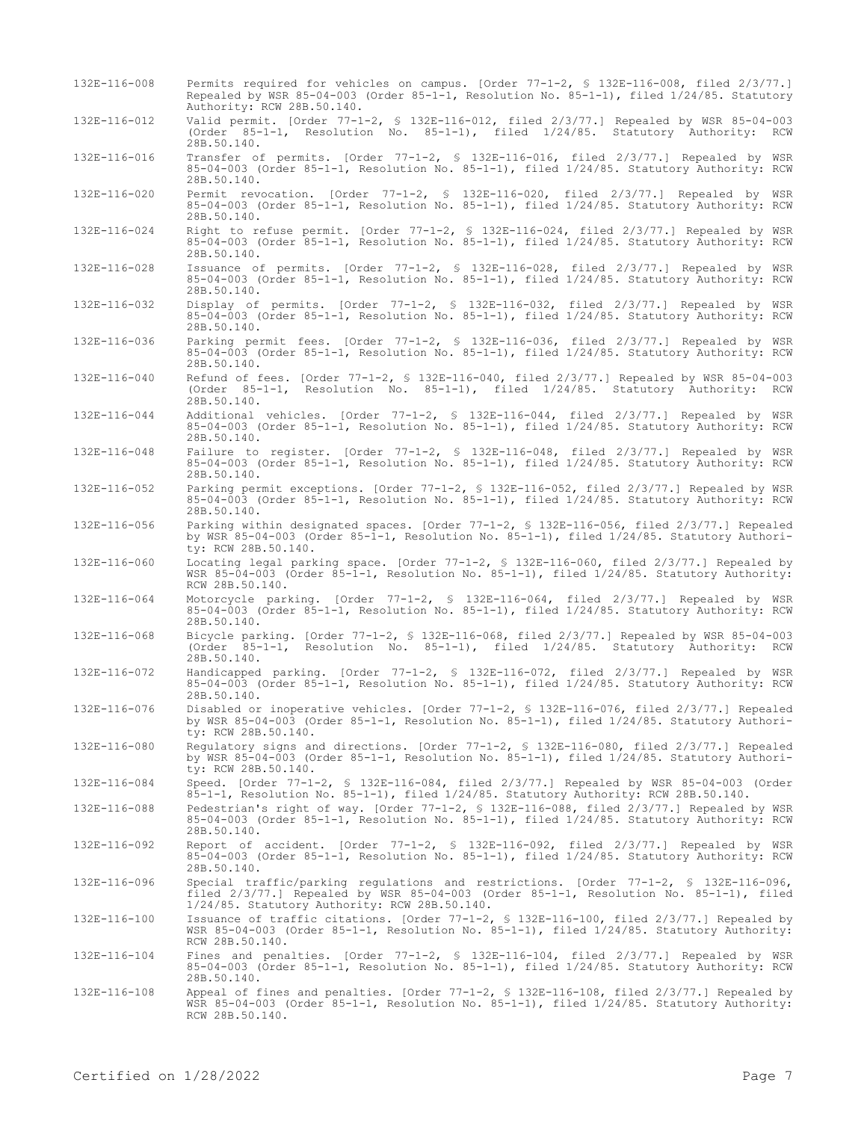| 132E-116-008 | Permits required for vehicles on campus. [Order 77-1-2, § 132E-116-008, filed 2/3/77.]<br>Repealed by WSR 85-04-003 (Order 85-1-1, Resolution No. 85-1-1), filed $1/24/85$ . Statutory<br>Authority: RCW 28B.50.140.           |
|--------------|--------------------------------------------------------------------------------------------------------------------------------------------------------------------------------------------------------------------------------|
| 132E-116-012 | Valid permit. [Order 77-1-2, § 132E-116-012, filed 2/3/77.] Repealed by WSR 85-04-003<br>(Order 85-1-1, Resolution No. 85-1-1), filed $1/24/85$ . Statutory Authority: RCW<br>28B.50.140.                                      |
| 132E-116-016 | Transfer of permits. [Order 77-1-2, § 132E-116-016, filed 2/3/77.] Repealed by WSR<br>85-04-003 (Order 85-1-1, Resolution No. 85-1-1), filed 1/24/85. Statutory Authority: RCW<br>28B.50.140.                                  |
| 132E-116-020 | Permit revocation. [Order 77-1-2, § 132E-116-020, filed 2/3/77.] Repealed by WSR<br>85-04-003 (Order 85-1-1, Resolution No. 85-1-1), filed 1/24/85. Statutory Authority: RCW<br>28B.50.140.                                    |
| 132E-116-024 | Right to refuse permit. [Order 77-1-2, \$ 132E-116-024, filed 2/3/77.] Repealed by WSR<br>85-04-003 (Order 85-1-1, Resolution No. 85-1-1), filed 1/24/85. Statutory Authority: RCW<br>28B.50.140.                              |
| 132E-116-028 | Issuance of permits. [Order 77-1-2, § 132E-116-028, filed 2/3/77.] Repealed by WSR<br>85-04-003 (Order 85-1-1, Resolution No. 85-1-1), filed 1/24/85. Statutory Authority: RCW<br>28B.50.140.                                  |
| 132E-116-032 | Display of permits. [Order $77-1-2$ , § 132E-116-032, filed $2/3/77$ .] Repealed by WSR<br>85-04-003 (Order 85-1-1, Resolution No. 85-1-1), filed 1/24/85. Statutory Authority: RCW<br>28B.50.140.                             |
| 132E-116-036 | Parking permit fees. [Order 77-1-2, § 132E-116-036, filed 2/3/77.] Repealed by WSR<br>85-04-003 (Order 85-1-1, Resolution No. 85-1-1), filed 1/24/85. Statutory Authority: RCW<br>28B.50.140.                                  |
| 132E-116-040 | Refund of fees. [Order 77-1-2, § 132E-116-040, filed 2/3/77.] Repealed by WSR 85-04-003<br>(Order 85-1-1, Resolution No. 85-1-1), filed 1/24/85. Statutory Authority: RCW<br>28B.50.140.                                       |
| 132E-116-044 | Additional vehicles. [Order 77-1-2, § 132E-116-044, filed 2/3/77.] Repealed by WSR<br>85-04-003 (Order 85-1-1, Resolution No. 85-1-1), filed 1/24/85. Statutory Authority: RCW<br>28B.50.140.                                  |
| 132E-116-048 | Failure to register. [Order 77-1-2, $\frac{1}{2}$ 132E-116-048, filed 2/3/77.] Repealed by WSR<br>85-04-003 (Order 85-1-1, Resolution No. 85-1-1), filed 1/24/85. Statutory Authority: RCW<br>28B.50.140.                      |
| 132E-116-052 | Parking permit exceptions. [Order 77-1-2, § 132E-116-052, filed 2/3/77.] Repealed by WSR<br>85-04-003 (Order 85-1-1, Resolution No. 85-1-1), filed 1/24/85. Statutory Authority: RCW<br>28B.50.140.                            |
| 132E-116-056 | Parking within designated spaces. [Order 77-1-2, § 132E-116-056, filed 2/3/77.] Repealed<br>by WSR 85-04-003 (Order 85-1-1, Resolution No. 85-1-1), filed 1/24/85. Statutory Authori-<br>ty: RCW 28B.50.140.                   |
| 132E-116-060 | Locating legal parking space. [Order 77-1-2, § 132E-116-060, filed 2/3/77.] Repealed by<br>WSR 85-04-003 (Order 85-1-1, Resolution No. 85-1-1), filed 1/24/85. Statutory Authority:<br>RCW 28B.50.140.                         |
| 132E-116-064 | Motorcycle parking. [Order 77-1-2, § 132E-116-064, filed 2/3/77.] Repealed by WSR<br>85-04-003 (Order 85-1-1, Resolution No. 85-1-1), filed 1/24/85. Statutory Authority: RCW<br>28B.50.140.                                   |
| 132E-116-068 | Bicycle parking. [Order 77-1-2, § 132E-116-068, filed 2/3/77.] Repealed by WSR 85-04-003<br>(Order 85-1-1, Resolution No. 85-1-1), filed 1/24/85. Statutory Authority: RCW<br>28B.50.140.                                      |
| 132E-116-072 | Handicapped parking. [Order 77-1-2, § 132E-116-072, filed 2/3/77.] Repealed by WSR<br>85-04-003 (Order 85-1-1, Resolution No. 85-1-1), filed 1/24/85. Statutory Authority: RCW<br>28B.50.140.                                  |
| 132E-116-076 | Disabled or inoperative vehicles. [Order 77-1-2, \$ 132E-116-076, filed 2/3/77.] Repealed<br>by WSR 85-04-003 (Order 85-1-1, Resolution No. 85-1-1), filed $1/24/85$ . Statutory Authori-<br>ty: RCW 28B.50.140.               |
| 132E-116-080 | Requlatory signs and directions. [Order 77-1-2, § 132E-116-080, filed 2/3/77.] Repealed<br>by WSR 85-04-003 (Order 85-1-1, Resolution No. 85-1-1), filed 1/24/85. Statutory Authori-<br>ty: RCW 28B.50.140.                    |
| 132E-116-084 | Speed. [Order 77-1-2, § 132E-116-084, filed 2/3/77.] Repealed by WSR 85-04-003 (Order<br>85-1-1, Resolution No. 85-1-1), filed 1/24/85. Statutory Authority: RCW 28B.50.140.                                                   |
| 132E-116-088 | Pedestrian's right of way. [Order 77-1-2, § 132E-116-088, filed 2/3/77.] Repealed by WSR<br>85-04-003 (Order 85-1-1, Resolution No. 85-1-1), filed 1/24/85. Statutory Authority: RCW<br>28B.50.140.                            |
| 132E-116-092 | Report of accident. [Order 77-1-2, § 132E-116-092, filed 2/3/77.] Repealed by WSR<br>85-04-003 (Order 85-1-1, Resolution No. 85-1-1), filed 1/24/85. Statutory Authority: RCW<br>28B.50.140.                                   |
| 132E-116-096 | Special traffic/parking regulations and restrictions. [Order 77-1-2, § 132E-116-096,<br>filed 2/3/77.] Repealed by WSR 85-04-003 (Order 85-1-1, Resolution No. 85-1-1), filed<br>1/24/85. Statutory Authority: RCW 28B.50.140. |
| 132E-116-100 | Issuance of traffic citations. [Order 77-1-2, § 132E-116-100, filed 2/3/77.] Repealed by<br>WSR 85-04-003 (Order 85-1-1, Resolution No. 85-1-1), filed $1/24/85$ . Statutory Authority:<br>RCW 28B.50.140.                     |
| 132E-116-104 | Fines and penalties. [Order 77-1-2, § 132E-116-104, filed 2/3/77.] Repealed by WSR<br>85-04-003 (Order 85-1-1, Resolution No. 85-1-1), filed 1/24/85. Statutory Authority: RCW<br>28B.50.140.                                  |
| 132E-116-108 | Appeal of fines and penalties. [Order $77-1-2$ , § 132E-116-108, filed $2/3/77$ .] Repealed by<br>WSR 85-04-003 (Order 85-1-1, Resolution No. 85-1-1), filed 1/24/85. Statutory Authority:<br>RCW 28B.50.140.                  |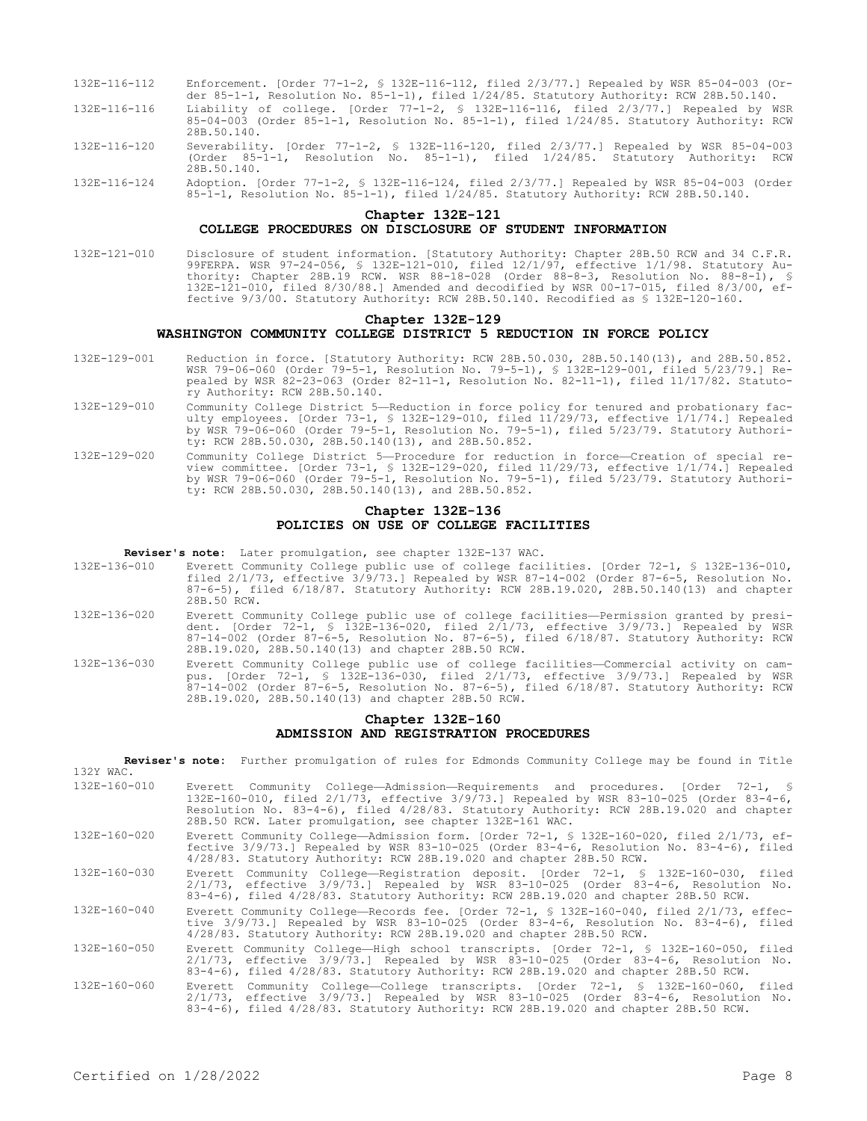- 132E-116-112 Enforcement. [Order 77-1-2, § 132E-116-112, filed 2/3/77.] Repealed by WSR 85-04-003 (Order 85-1-1, Resolution No. 85-1-1), filed 1/24/85. Statutory Authority: RCW 28B.50.140.
- 132E-116-116 Liability of college. [Order 77-1-2, § 132E-116-116, filed 2/3/77.] Repealed by WSR 85-04-003 (Order 85-1-1, Resolution No. 85-1-1), filed 1/24/85. Statutory Authority: RCW 28B.50.140.
- 132E-116-120 Severability. [Order 77-1-2, § 132E-116-120, filed 2/3/77.] Repealed by WSR 85-04-003 (Order 85-1-1, Resolution No. 85-1-1), filed 1/24/85. Statutory Authority: RCW 28B.50.140.
- 132E-116-124 Adoption. [Order 77-1-2, § 132E-116-124, filed 2/3/77.] Repealed by WSR 85-04-003 (Order 85-1-1, Resolution No. 85-1-1), filed 1/24/85. Statutory Authority: RCW 28B.50.140.

### **Chapter 132E-121**

#### **COLLEGE PROCEDURES ON DISCLOSURE OF STUDENT INFORMATION**

132E-121-010 Disclosure of student information. [Statutory Authority: Chapter 28B.50 RCW and 34 C.F.R. 99FERPA. WSR 97-24-056, § 132E-121-010, filed 12/1/97, effective 1/1/98. Statutory Authority: Chapter 28B.19 RCW. WSR 88-18-028 (Order 88-8-3, Resolution No. 88-8-1), § 132E-121-010, filed 8/30/88.] Amended and decodified by WSR 00-17-015, filed 8/3/00, effective 9/3/00. Statutory Authority: RCW 28B.50.140. Recodified as § 132E-120-160.

### **Chapter 132E-129**

# **WASHINGTON COMMUNITY COLLEGE DISTRICT 5 REDUCTION IN FORCE POLICY**

- 132E-129-001 Reduction in force. [Statutory Authority: RCW 28B.50.030, 28B.50.140(13), and 28B.50.852. WSR 79-06-060 (Order 79-5-1, Resolution No. 79-5-1), § 132E-129-001, filed 5/23/79.] Repealed by WSR 82-23-063 (Order 82-11-1, Resolution No. 82-11-1), filed 11/17/82. Statutory Authority: RCW 28B.50.140.
- 132E-129-010 Community College District 5—Reduction in force policy for tenured and probationary faculty employees. [Order 73-1, § 132E-129-010, filed 11/29/73, effective 1/1/74.] Repealed by WSR 79-06-060 (Order 79-5-1, Resolution No. 79-5-1), filed 5/23/79. Statutory Authority: RCW 28B.50.030, 28B.50.140(13), and 28B.50.852.
- 132E-129-020 Community College District 5—Procedure for reduction in force—Creation of special review committee. [Order 73-1, § 132E-129-020, filed 11/29/73, effective 1/1/74.] Repealed by WSR 79-06-060 (Order 79-5-1, Resolution No. 79-5-1), filed 5/23/79. Statutory Authority: RCW 28B.50.030, 28B.50.140(13), and 28B.50.852.

## **Chapter 132E-136 POLICIES ON USE OF COLLEGE FACILITIES**

**Reviser's note:** Later promulgation, see chapter 132E-137 WAC.

- 132E-136-010 Everett Community College public use of college facilities. [Order 72-1, § 132E-136-010, filed 2/1/73, effective 3/9/73.] Repealed by WSR 87-14-002 (Order 87-6-5, Resolution No. 87-6-5), filed 6/18/87. Statutory Authority: RCW 28B.19.020, 28B.50.140(13) and chapter 28B.50 RCW.
- 132E-136-020 Everett Community College public use of college facilities—Permission granted by president. [Order 72-1, § 132E-136-020, filed 2/1/73, effective 3/9/73.] Repealed by WSR 87-14-002 (Order 87-6-5, Resolution No. 87-6-5), filed 6/18/87. Statutory Authority: RCW 28B.19.020, 28B.50.140(13) and chapter 28B.50 RCW.
- 132E-136-030 Everett Community College public use of college facilities—Commercial activity on campus. [Order 72-1, § 132E-136-030, filed 2/1/73, effective 3/9/73.] Repealed by WSR 87-14-002 (Order 87-6-5, Resolution No. 87-6-5), filed 6/18/87. Statutory Authority: RCW 28B.19.020, 28B.50.140(13) and chapter 28B.50 RCW.

### **Chapter 132E-160 ADMISSION AND REGISTRATION PROCEDURES**

|              | Reviser's note: Further promulgation of rules for Edmonds Community College may be found in Title                                                                                                                                                                                                                                 |
|--------------|-----------------------------------------------------------------------------------------------------------------------------------------------------------------------------------------------------------------------------------------------------------------------------------------------------------------------------------|
| 132Y WAC.    |                                                                                                                                                                                                                                                                                                                                   |
| 132E-160-010 | Everett Community College—Admission—Requirements and procedures. [Order 72-1, §<br>132E-160-010, filed 2/1/73, effective 3/9/73.] Repealed by WSR 83-10-025 (Order 83-4-6,<br>Resolution No. 83-4-6), filed 4/28/83. Statutory Authority: RCW 28B.19.020 and chapter<br>28B.50 RCW. Later promulgation, see chapter 132E-161 WAC. |
| 132E-160-020 | Everett Community College-Admission form. [Order 72-1, § 132E-160-020, filed 2/1/73, ef-<br>fective 3/9/73.1 Repealed by WSR 83-10-025 (Order 83-4-6, Resolution No. 83-4-6), filed<br>4/28/83. Statutory Authority: RCW 28B.19.020 and chapter 28B.50 RCW.                                                                       |
| 132E-160-030 | Everett Community College-Registration deposit. [Order 72-1, § 132E-160-030, filed<br>$2/1/73$ , effective $3/9/73$ . Repealed by WSR 83-10-025 (Order 83-4-6, Resolution No.<br>83-4-6), filed 4/28/83. Statutory Authority: RCW 28B.19.020 and chapter 28B.50 RCW.                                                              |
| 132E-160-040 | Everett Community College-Records fee. [Order 72-1, § 132E-160-040, filed 2/1/73, effec-<br>tive 3/9/73.] Repealed by WSR 83-10-025 (Order 83-4-6, Resolution No. 83-4-6), filed<br>4/28/83. Statutory Authority: RCW 28B.19.020 and chapter 28B.50 RCW.                                                                          |
| 132E-160-050 | Everett Community College-High school transcripts. [Order 72-1, § 132E-160-050, filed<br>$2/1/73$ , effective $3/9/73$ . Repealed by WSR 83-10-025 (Order 83-4-6, Resolution No.<br>83-4-6), filed 4/28/83. Statutory Authority: RCW 28B.19.020 and chapter 28B.50 RCW.                                                           |
| 132E-160-060 | Everett Community College-College transcripts. [Order 72-1, § 132E-160-060, filed<br>$2/1/73$ , effective $3/9/73$ . Repealed by WSR 83-10-025 (Order 83-4-6, Resolution No.<br>83-4-6), filed 4/28/83. Statutory Authority: RCW 28B.19.020 and chapter 28B.50 RCW.                                                               |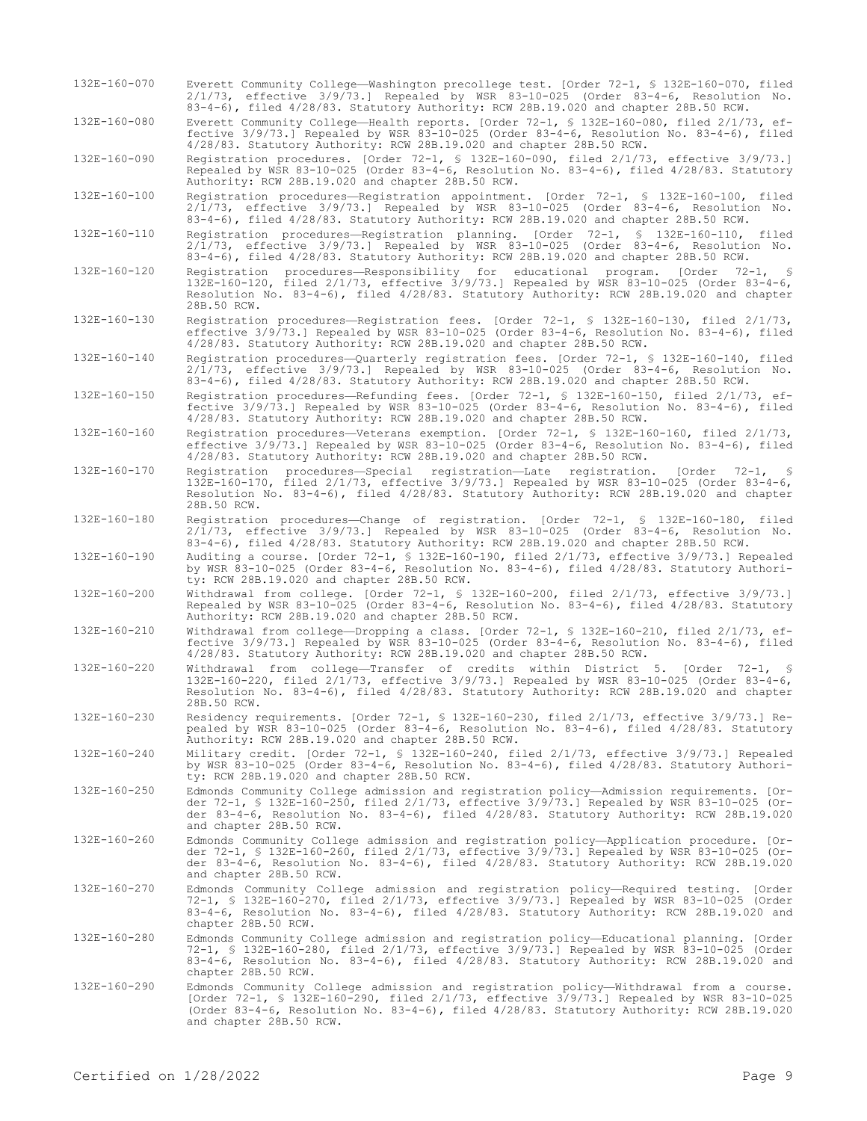132E-160-070 Everett Community College—Washington precollege test. [Order 72-1, § 132E-160-070, filed 2/1/73, effective 3/9/73.] Repealed by WSR 83-10-025 (Order 83-4-6, Resolution No. 83-4-6), filed 4/28/83. Statutory Authority: RCW 28B.19.020 and chapter 28B.50 RCW.

132E-160-080 Everett Community College—Health reports. [Order 72-1, § 132E-160-080, filed 2/1/73, effective 3/9/73.] Repealed by WSR 83-10-025 (Order 83-4-6, Resolution No. 83-4-6), filed 4/28/83. Statutory Authority: RCW 28B.19.020 and chapter 28B.50 RCW.

132E-160-090 Registration procedures. [Order 72-1, § 132E-160-090, filed 2/1/73, effective 3/9/73.] Repealed by WSR 83-10-025 (Order 83-4-6, Resolution No. 83-4-6), filed 4/28/83. Statutory Authority: RCW 28B.19.020 and chapter 28B.50 RCW.

132E-160-100 Registration procedures—Registration appointment. [Order 72-1, § 132E-160-100, filed 2/1/73, effective 3/9/73.] Repealed by WSR 83-10-025 (Order 83-4-6, Resolution No. 83-4-6), filed 4/28/83. Statutory Authority: RCW 28B.19.020 and chapter 28B.50 RCW.

132E-160-110 Registration procedures—Registration planning. [Order 72-1, § 132E-160-110, filed 2/1/73, effective 3/9/73.] Repealed by WSR 83-10-025 (Order 83-4-6, Resolution No. 83-4-6), filed 4/28/83. Statutory Authority: RCW 28B.19.020 and chapter 28B.50 RCW.

132E-160-120 Registration procedures—Responsibility for educational program. [Order 72-1, § 132E-160-120, filed 2/1/73, effective 3/9/73.] Repealed by WSR 83-10-025 (Order 83-4-6, Resolution No. 83-4-6), filed 4/28/83. Statutory Authority: RCW 28B.19.020 and chapter 28B.50 RCW.

132E-160-130 Registration procedures—Registration fees. [Order 72-1, § 132E-160-130, filed 2/1/73, effective 3/9/73.] Repealed by WSR 83-10-025 (Order 83-4-6, Resolution No. 83-4-6), filed 4/28/83. Statutory Authority: RCW 28B.19.020 and chapter 28B.50 RCW.

132E-160-140 Registration procedures—Quarterly registration fees. [Order 72-1, § 132E-160-140, filed 2/1/73, effective 3/9/73.] Repealed by WSR 83-10-025 (Order 83-4-6, Resolution No. 83-4-6), filed 4/28/83. Statutory Authority: RCW 28B.19.020 and chapter 28B.50 RCW.

132E-160-150 Registration procedures—Refunding fees. [Order 72-1, § 132E-160-150, filed 2/1/73, effective 3/9/73.] Repealed by WSR 83-10-025 (Order 83-4-6, Resolution No. 83-4-6), filed 4/28/83. Statutory Authority: RCW 28B.19.020 and chapter 28B.50 RCW.

132E-160-160 Registration procedures—Veterans exemption. [Order 72-1, § 132E-160-160, filed 2/1/73, effective 3/9/73.] Repealed by WSR 83-10-025 (Order 83-4-6, Resolution No. 83-4-6), filed 4/28/83. Statutory Authority: RCW 28B.19.020 and chapter 28B.50 RCW.

- 132E-160-170 Registration procedures—Special registration—Late registration. [Order 72-1, § 132E-160-170, filed 2/1/73, effective 3/9/73.] Repealed by WSR 83-10-025 (Order 83-4-6, Resolution No. 83-4-6), filed 4/28/83. Statutory Authority: RCW 28B.19.020 and chapter 28B.50 RCW.
- 132E-160-180 Registration procedures—Change of registration. [Order 72-1, § 132E-160-180, filed 2/1/73, effective 3/9/73.] Repealed by WSR 83-10-025 (Order 83-4-6, Resolution No. 83-4-6), filed 4/28/83. Statutory Authority: RCW 28B.19.020 and chapter 28B.50 RCW.

132E-160-190 Auditing a course. [Order 72-1, § 132E-160-190, filed 2/1/73, effective 3/9/73.] Repealed by WSR 83-10-025 (Order 83-4-6, Resolution No. 83-4-6), filed 4/28/83. Statutory Authority: RCW 28B.19.020 and chapter 28B.50 RCW.

132E-160-200 Withdrawal from college. [Order 72-1, § 132E-160-200, filed 2/1/73, effective 3/9/73.] Repealed by WSR 83-10-025 (Order 83-4-6, Resolution No. 83-4-6), filed 4/28/83. Statutory Authority: RCW 28B.19.020 and chapter 28B.50 RCW.

- 132E-160-210 Withdrawal from college—Dropping a class. [Order 72-1, § 132E-160-210, filed 2/1/73, effective 3/9/73.] Repealed by WSR 83-10-025 (Order 83-4-6, Resolution No. 83-4-6), filed 4/28/83. Statutory Authority: RCW 28B.19.020 and chapter 28B.50 RCW.
- 132E-160-220 Withdrawal from college—Transfer of credits within District 5. [Order 72-1, § 132E-160-220, filed 2/1/73, effective 3/9/73.] Repealed by WSR 83-10-025 (Order 83-4-6, Resolution No. 83-4-6), filed 4/28/83. Statutory Authority: RCW 28B.19.020 and chapter 28B.50 RCW.
- 132E-160-230 Residency requirements. [Order 72-1, § 132E-160-230, filed 2/1/73, effective 3/9/73.] Repealed by WSR 83-10-025 (Order 83-4-6, Resolution No. 83-4-6), filed 4/28/83. Statutory Authority: RCW 28B.19.020 and chapter 28B.50 RCW.

132E-160-240 Military credit. [Order 72-1, § 132E-160-240, filed 2/1/73, effective 3/9/73.] Repealed by WSR 83-10-025 (Order 83-4-6, Resolution No. 83-4-6), filed 4/28/83. Statutory Authority: RCW 28B.19.020 and chapter 28B.50 RCW.

- 132E-160-250 Edmonds Community College admission and registration policy—Admission requirements. [Order 72-1, § 132E-160-250, filed 2/1/73, effective 3/9/73.] Repealed by WSR 83-10-025 (Order 83-4-6, Resolution No. 83-4-6), filed 4/28/83. Statutory Authority: RCW 28B.19.020 and chapter 28B.50 RCW.
- 132E-160-260 Edmonds Community College admission and registration policy—Application procedure. [Order 72-1, § 132E-160-260, filed 2/1/73, effective 3/9/73.] Repealed by WSR 83-10-025 (Order 83-4-6, Resolution No. 83-4-6), filed 4/28/83. Statutory Authority: RCW 28B.19.020 and chapter 28B.50 RCW.
- 132E-160-270 Edmonds Community College admission and registration policy—Required testing. [Order 72-1, § 132E-160-270, filed 2/1/73, effective 3/9/73.] Repealed by WSR 83-10-025 (Order 83-4-6, Resolution No. 83-4-6), filed 4/28/83. Statutory Authority: RCW 28B.19.020 and chapter 28B.50 RCW.
- 132E-160-280 Edmonds Community College admission and registration policy—Educational planning. [Order 72-1, § 132E-160-280, filed 2/1/73, effective 3/9/73.] Repealed by WSR 83-10-025 (Order 83-4-6, Resolution No. 83-4-6), filed 4/28/83. Statutory Authority: RCW 28B.19.020 and chapter 28B.50 RCW.
- 132E-160-290 Edmonds Community College admission and registration policy—Withdrawal from a course. [Order 72-1, § 132E-160-290, filed 2/1/73, effective 3/9/73.] Repealed by WSR 83-10-025 (Order 83-4-6, Resolution No. 83-4-6), filed 4/28/83. Statutory Authority: RCW 28B.19.020 and chapter 28B.50 RCW.